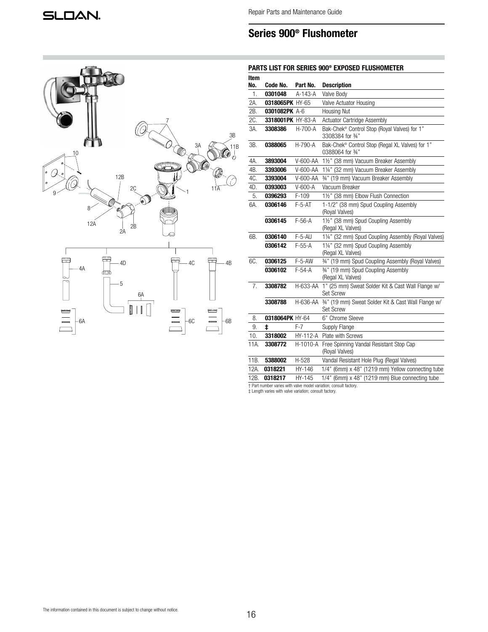| 10                    |                                                                     | 7<br>3A<br>((C      | $\frac{3B}{2}$<br>11B                                  |
|-----------------------|---------------------------------------------------------------------|---------------------|--------------------------------------------------------|
| ø<br>9                | 12B<br>2Ç<br>- Om<br>8 <sup>2</sup><br>12A<br>$\overline{2B}$<br>2A |                     | $\bigcirc \!\!\! \bullet_o$<br>(16<br>$11\overline{A}$ |
| $-4A$<br>مسس<br>$-6A$ | 4D<br>血<br>- 5<br>6A                                                | 4C<br>مصبح<br>$-6C$ | 4B<br>ℸ<br>كك<br>$-6B$                                 |

# PARTS LIST FOR SERIES 900® EXPOSED FLUSHOMETER

| Item<br>No. | Code No.          | Part No.      | <b>Description</b>                                                             |  |
|-------------|-------------------|---------------|--------------------------------------------------------------------------------|--|
| 1.          | 0301048           | A-143-A       | Valve Body                                                                     |  |
| 2A.         | 0318065PK HY-65   |               | Valve Actuator Housing                                                         |  |
| 2B.         | 0301082PK A-6     |               | Housing Nut                                                                    |  |
| 2C.         | 3318001PK HY-83-A |               | Actuator Cartridge Assembly                                                    |  |
| 3A.         | 3308386           | $H - 700 - A$ | Bak-Chek <sup>®</sup> Control Stop (Royal Valves) for 1"<br>3308384 for 3⁄4"   |  |
| 3B.         | 0388065           | H-790-A       | Bak-Chek <sup>®</sup> Control Stop (Regal XL Valves) for 1"<br>0388064 for 34" |  |
| 4A.         | 3893004           | V-600-AA      | 1½" (38 mm) Vacuum Breaker Assembly                                            |  |
| 4B.         | 3393006           | V-600-AA      | 11/4" (32 mm) Vacuum Breaker Assembly                                          |  |
| 4C.         | 3393004           | V-600-AA      | 34" (19 mm) Vacuum Breaker Assembly                                            |  |
| 4D.         | 0393003           | $V-600-A$     | Vacuum Breaker                                                                 |  |
| 5.          | 0396293           | $F-109$       | 1½" (38 mm) Elbow Flush Connection                                             |  |
| 6A.         | 0306146           | $F-5-AT$      | 1-1/2" (38 mm) Spud Coupling Assembly<br>(Royal Valves)                        |  |
|             | 0306145           | $F-56-A$      | 1½" (38 mm) Spud Coupling Assembly<br>(Regal XL Valves)                        |  |
| 6B.         | 0306140           | $F-5-AU$      | 11/4" (32 mm) Spud Coupling Assembly (Royal Valves)                            |  |
|             | 0306142           | $F-55-A$      | 11/4" (32 mm) Spud Coupling Assembly<br>(Regal XL Valves)                      |  |
| 6C.         | 0306125           | $F-5-AW$      | 34" (19 mm) Spud Coupling Assembly (Royal Valves)                              |  |
|             | 0306102           | $F-54-A$      | 34" (19 mm) Spud Coupling Assembly<br>(Regal XL Valves)                        |  |
| 7.          | 3308782           | H-633-AA      | 1" (25 mm) Sweat Solder Kit & Cast Wall Flange w/<br>Set Screw                 |  |
|             | 3308788           | H-636-AA      | 34" (19 mm) Sweat Solder Kit & Cast Wall Flange w/<br><b>Set Screw</b>         |  |
| 8.          | 0318064PK HY-64   |               | 6" Chrome Sleeve                                                               |  |
| 9.          | ŧ                 | $F-7$         | Supply Flange                                                                  |  |
| 10.         | 3318002           | HY-112-A      | Plate with Screws                                                              |  |
| 11A.        | 3308772           | H-1010-A      | Free Spinning Vandal Resistant Stop Cap<br>(Royal Valves)                      |  |
| 11B.        | 5388002           | $H-528$       | Vandal Resistant Hole Plug (Regal Valves)                                      |  |
| 12A.        | 0318221           | HY-146        | 1/4" (6mm) x 48" (1219 mm) Yellow connecting tube                              |  |
| 12B.        | 0318217           | HY-145        | 1/4" (6mm) x 48" (1219 mm) Blue connecting tube                                |  |

† Part number varies with valve model variation; consult factory. ‡ Length varies with valve variation; consult factory.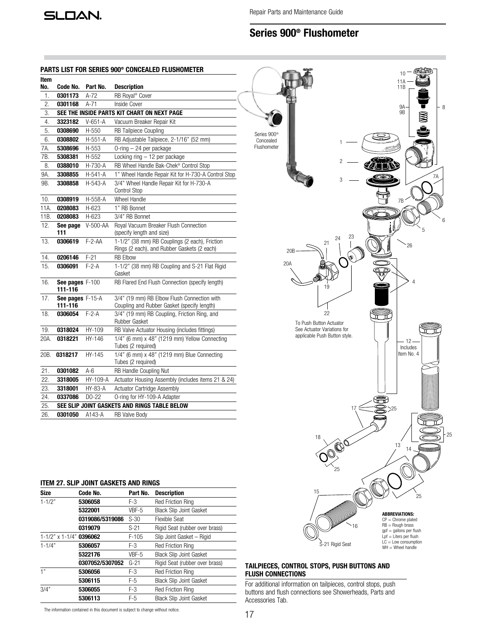SLOAN.

Repair Parts and Maintenance Guide

# Series 900® Flushometer

## PARTS LIST FOR SERIES 900® CONCEALED FLUSHOMETER

| Item |                             |           |                                                                                               |
|------|-----------------------------|-----------|-----------------------------------------------------------------------------------------------|
| No.  | Code No.                    | Part No.  | <b>Description</b>                                                                            |
| 1.   | 0301173                     | A-72      | RB Royal <sup>®</sup> Cover                                                                   |
| 2.   | 0301168                     | $A-71$    | <b>Inside Cover</b>                                                                           |
| 3.   |                             |           | SEE THE INSIDE PARTS KIT CHART ON NEXT PAGE                                                   |
| 4.   | 3323182                     | $V-651-A$ | Vacuum Breaker Repair Kit                                                                     |
| 5.   | 0308690                     | H-550     | <b>RB Tailpiece Coupling</b>                                                                  |
| 6.   | 0308802                     | $H-551-A$ | RB Adjustable Tailpiece, 2-1/16" (52 mm)                                                      |
| 7A.  | 5308696                     | H-553     | O-ring - 24 per package                                                                       |
| 7B.  | 5308381                     | H-552     | Locking ring - 12 per package                                                                 |
| 8.   | 0388010                     | H-730-A   | RB Wheel Handle Bak-Chek® Control Stop                                                        |
| 9A.  | 3308855                     | H-541-A   | 1" Wheel Handle Repair Kit for H-730-A Control Stop                                           |
| 9B.  | 3308858                     | H-543-A   | 3/4" Wheel Handle Repair Kit for H-730-A<br>Control Stop                                      |
| 10.  | 0308919                     | H-558-A   | <b>Wheel Handle</b>                                                                           |
| 11A. | 0208083                     | H-623     | 1" RB Bonnet                                                                                  |
| 11B. | 0208083                     | H-623     | 3/4" RB Bonnet                                                                                |
| 12.  | See page<br>111             | V-500-AA  | Royal Vacuum Breaker Flush Connection<br>(specify length and size)                            |
| 13.  | 0306619                     | $F-2-AA$  | 1-1/2" (38 mm) RB Couplings (2 each), Friction<br>Rings (2 each), and Rubber Gaskets (2 each) |
| 14.  | 0206146                     | $F-21$    | <b>RB Elbow</b>                                                                               |
| 15.  | 0306091                     | $F-2-A$   | 1-1/2" (38 mm) RB Coupling and S-21 Flat Rigid<br>Gasket                                      |
| 16.  | See pages F-100<br>111-116  |           | RB Flared End Flush Connection (specify length)                                               |
| 17.  | See pages F-15-A<br>111-116 |           | 3/4" (19 mm) RB Elbow Flush Connection with<br>Coupling and Rubber Gasket (specify length)    |
| 18.  | 0306054                     | $F-2-A$   | 3/4" (19 mm) RB Coupling, Friction Ring, and<br>Rubber Gasket                                 |
| 19.  | 0318024                     | HY-109    | RB Valve Actuator Housing (includes fittings)                                                 |
| 20A. | 0318221                     | HY-146    | 1/4" (6 mm) x 48" (1219 mm) Yellow Connecting<br>Tubes (2 required)                           |
| 20B. | 0318217                     | HY-145    | 1/4" (6 mm) x 48" (1219 mm) Blue Connecting<br>Tubes (2 required)                             |
| 21.  | 0301082                     | $A-6$     | RB Handle Coupling Nut                                                                        |
| 22.  | 3318005                     | HY-109-A  | Actuator Housing Assembly (includes items 21 & 24)                                            |
| 23.  | 3318001                     | HY-83-A   | <b>Actuator Cartridge Assembly</b>                                                            |
| 24.  | 0337086                     | $DO-22$   | O-ring for HY-109-A Adapter                                                                   |
| 25.  |                             |           | SEE SLIP JOINT GASKETS AND RINGS TABLE BELOW                                                  |
| 26.  | 0301050                     | A143-A    | <b>RB Valve Body</b>                                                                          |
|      |                             |           |                                                                                               |



## TAILPIECES, CONTROL STOPS, PUSH BUTTONS AND FLUSH CONNECTIONS

For additional information on tailpieces, control stops, push buttons and flush connections see Showerheads, Parts and Accessories Tab.

## ITEM 27. SLIP JOINT GASKETS AND RINGS

| <b>Size</b>                       | Code No.        | Part No. | <b>Description</b>             |
|-----------------------------------|-----------------|----------|--------------------------------|
| $1 - 1/2"$                        | 5306058         | F-3      | <b>Red Friction Ring</b>       |
|                                   | 5322001         | VBF-5    | <b>Black Slip Joint Gasket</b> |
|                                   | 0319086/5319086 | $S-30$   | <b>Flexible Seat</b>           |
|                                   | 0319079         | $S-21$   | Rigid Seat (rubber over brass) |
| $1 - 1/2$ " x $1 - 1/4$ " 0396062 |                 | $F-105$  | Slip Joint Gasket - Rigid      |
| $1 - 1/4"$                        | 5306057         | F-3      | <b>Red Friction Ring</b>       |
|                                   | 5322176         | VBF-5    | <b>Black Slip Joint Gasket</b> |
|                                   | 0307052/5307052 | $G-21$   | Rigid Seat (rubber over brass) |
| 1"                                | 5306056         | F-3      | <b>Red Friction Ring</b>       |
|                                   | 5306115         | F-5      | <b>Black Slip Joint Gasket</b> |
| 3/4"                              | 5306055         | $F-3$    | <b>Red Friction Ring</b>       |
|                                   | 5306113         | $F-5$    | <b>Black Slip Joint Gasket</b> |

The information contained in this document is subject to change without notice.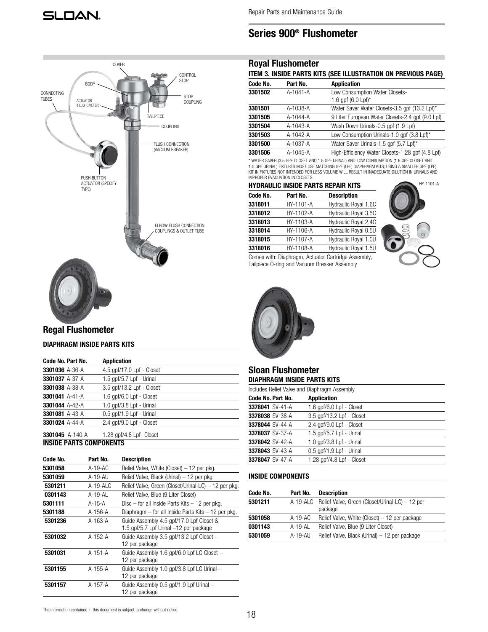## Royal Flushometer

## ITEM 3. INSIDE PARTS KITS (SEE ILLUSTRATION ON PREVIOUS PAGE)

| Code No. | Part No.       | <b>Application</b>                                              |
|----------|----------------|-----------------------------------------------------------------|
| 3301502  | A-1041-A       | Low Consumption Water Closets-<br>1.6 gpf $(6.0 \text{ Lpf})^*$ |
| 3301501  | A-1038-A       | Water Saver Water Closets-3.5 gpf (13.2 Lpf)*                   |
| 3301505  | $A - 1044 - A$ | 9 Liter European Water Closets-2.4 gpf (9.0 Lpf)                |
| 3301504  | A-1043-A       | Wash Down Urinals-0.5 gpf (1.9 Lpf)                             |
| 3301503  | A-1042-A       | Low Consumption Urinals-1.0 qpf (3.8 Lpf)*                      |
| 3301500  | A-1037-A       | Water Saver Urinals-1.5 gpf (5.7 Lpf)*                          |
| 3301506  | A-1045-A       | High-Efficiency Water Closets-1.28 gpf (4.8 Lpf)                |

\* WATER SAVER (3.5 GPF CLOSET AND 1.5 GPF URINAL) AND LOW CONSUMPTION (1.6 GPF CLOSET AND 1.0 GPF URINAL) FIXTURES MUST USE MATCHING GPF (LPF) DIAPHRAGM KITS; USING A SMALLER GPF (LPF)<br>KIT IN FIXTURES NOT INTENDED FOR LESS VOLUME WILL RESULT IN INADEQUATE DILUTION IN URINALS AND IMPROPER EVACUATION IN CLOSETS.

## HYDRAULIC INSIDE PARTS REPAIR KITS

| Code No. | Part No.  | <b>Description</b>   |
|----------|-----------|----------------------|
| 3318011  | HY-1101-A | Hydraulic Royal 1.6C |
| 3318012  | HY-1102-A | Hydraulic Royal 3.5C |
| 3318013  | HY-1103-A | Hydraulic Royal 2.4C |
| 3318014  | HY-1106-A | Hydraulic Royal 0.5U |
| 3318015  | HY-1107-A | Hydraulic Royal 1.0U |
| 3318016  | HY-1108-A | Hydraulic Royal 1.5U |
|          |           |                      |

Comes with: Diaphragm, Actuator Cartridge Assembly, Tailpiece O-ring and Vacuum Breaker Assembly





## Sloan Flushometer DIAPHRAGM INSIDE PARTS KITS

| Includes Relief Valve and Diaphragm Assembly |                            |  |  |  |
|----------------------------------------------|----------------------------|--|--|--|
| Code No. Part No.                            | <b>Application</b>         |  |  |  |
| 3378041 SV-41-A                              | 1.6 gpf/6.0 Lpf - Closet   |  |  |  |
| 3378038 SV-38-A                              | 3.5 gpf/13.2 Lpf - Closet  |  |  |  |
| 3378044 SV-44-A                              | 2.4 gpf/9.0 Lpf - Closet   |  |  |  |
| 3378037 SV-37-A                              | 1.5 gpf/5.7 Lpf - Urinal   |  |  |  |
| 3378042 SV-42-A                              | 1.0 $qpf/3.8 Lpf - Urinal$ |  |  |  |
| 3378043 SV-43-A                              | 0.5 qpf/1.9 Lpf - Urinal   |  |  |  |
| 3378047 SV-47-A                              | 1.28 gpf/4.8 Lpf - Closet  |  |  |  |
|                                              |                            |  |  |  |

## INSIDE COMPONENTS

| Code No. | Part No.   | <b>Description</b>                                                  |
|----------|------------|---------------------------------------------------------------------|
| 5301211  |            | A-19-ALC Relief Valve, Green (Closet/Urinal-LC) - 12 per<br>package |
| 5301058  | $A-19-AC$  | Relief Valve, White (Closet) – 12 per package                       |
| 0301143  | A-19-AL    | Relief Valve, Blue (9 Liter Closet)                                 |
| 5301059  | $A-19-ALJ$ | Relief Valve, Black (Urinal) - 12 per package                       |



# Regal Flushometer

## DIAPHRAGM INSIDE PARTS KITS

| Code No. Part No.              | <b>Application</b>         |
|--------------------------------|----------------------------|
| 3301036 A-36-A                 | 4.5 gpf/17.0 Lpf - Closet  |
| 3301037 A-37-A                 | 1.5 gpf/5.7 Lpf - Urinal   |
| 3301038 A-38-A                 | 3.5 gpf/13.2 Lpf - Closet  |
| 3301041 A-41-A                 | 1.6 gpf/6.0 Lpf - Closet   |
| 3301044 A-42-A                 | 1.0 $qpf/3.8 Lpf - Urinal$ |
| 3301081 A-43-A                 | 0.5 qpf/1.9 Lpf - Urinal   |
| 3301024 A-44-A                 | 2.4 gpf/9.0 Lpf - Closet   |
| 3301045 A-140-A                | 1.28 gpf/4.8 Lpf- Closet   |
| <b>INSIDE PARTS COMPONENTS</b> |                            |

| Code No. | Part No.   | <b>Description</b>                                                                 |
|----------|------------|------------------------------------------------------------------------------------|
| 5301058  | A-19-AC    | Relief Valve, White (Closet) - 12 per pkg.                                         |
| 5301059  | $A-19-Al$  | Relief Valve, Black (Urinal) - 12 per pkg.                                         |
| 5301211  | $A-19-ALC$ | Relief Valve, Green (Closet/Urinal-LC) - 12 per pkg.                               |
| 0301143  | $A-19-AL$  | Relief Valve, Blue (9 Liter Closet)                                                |
| 5301111  | A-15-A     | Disc $-$ for all Inside Parts Kits $-12$ per pkg.                                  |
| 5301188  | A-156-A    | Diaphragm – for all Inside Parts Kits – 12 per pkg.                                |
| 5301236  | A-163-A    | Guide Assembly 4.5 gpf/17.0 Lpf Closet &<br>1.5 gpf/5.7 Lpf Urinal -12 per package |
| 5301032  | A-152-A    | Guide Assembly 3.5 gpf/13.2 Lpf Closet -<br>12 per package                         |
| 5301031  | A-151-A    | Guide Assembly 1.6 gpf/6.0 Lpf LC Closet -<br>12 per package                       |
| 5301155  | A-155-A    | Guide Assembly 1.0 gpf/3.8 Lpf LC Urinal -<br>12 per package                       |
| 5301157  | A-157-A    | Guide Assembly 0.5 gpf/1.9 Lpf Urinal -<br>12 per package                          |

#### The information contained in this document is subject to change without notice.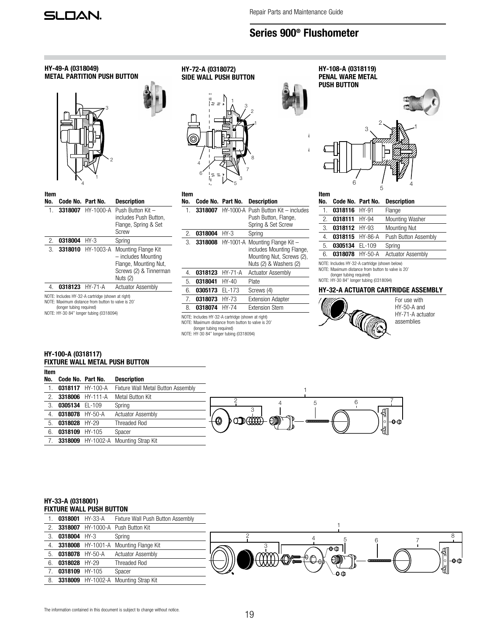

| Item |                   |                                             |                                                                                                   |  |
|------|-------------------|---------------------------------------------|---------------------------------------------------------------------------------------------------|--|
| No.  | Code No. Part No. | <b>Description</b>                          |                                                                                                   |  |
|      | 0318117 HY-100-A  | Fixture Wall Metal Button Assembly          |                                                                                                   |  |
| 2.   | 3318006 HY-111-A  | Metal Button Kit                            |                                                                                                   |  |
| 3.   | 0305134 EL-109    | Spring                                      | 6<br>5<br>4                                                                                       |  |
| 4.   | 0318078 HY-50-A   | <b>Actuator Assembly</b>                    | $\mathbb{R}$                                                                                      |  |
| 5.   | 0318028 HY-29     | <b>Threaded Rod</b>                         | $\circledcirc$<br>$\sim$ mass $\sim$<br>$\bigcirc$<br>CDIDIDIDIDIDIDIDIDID<br>∣ା <del>ା0</del> ©ା |  |
| 6.   | 0318109 HY-105    | Spacer                                      | ╣                                                                                                 |  |
|      |                   | <b>3318009</b> HY-1002-A Mounting Strap Kit |                                                                                                   |  |

## HY-33-A (0318001) FIXTURE WALL PUSH BUTTON

|    | 0318001 HY-33-A | Fixture Wall Push Button Assembly           |                                                          |
|----|-----------------|---------------------------------------------|----------------------------------------------------------|
|    |                 | 3318007 HY-1000-A Push Button Kit           |                                                          |
| 3. | 0318004 HY-3    | Spring                                      |                                                          |
| 4. |                 | 3318008 HY-1001-A Mounting Flange Kit       | ⁄ 0⊕                                                     |
| 5. | 0318078 HY-50-A | <b>Actuator Assembly</b>                    |                                                          |
| 6. | 0318028 HY-29   | <b>Threaded Rod</b>                         | 0) <del>(in 1999)</del><br>$\circledcirc$<br>ା⊢୫ଈ<br>৴⊖Љ |
|    | 0318109 HY-105  | Spacer                                      | ୗ∰<br>-0 @                                               |
| 8. |                 | <b>3318009</b> HY-1002-A Mounting Strap Kit |                                                          |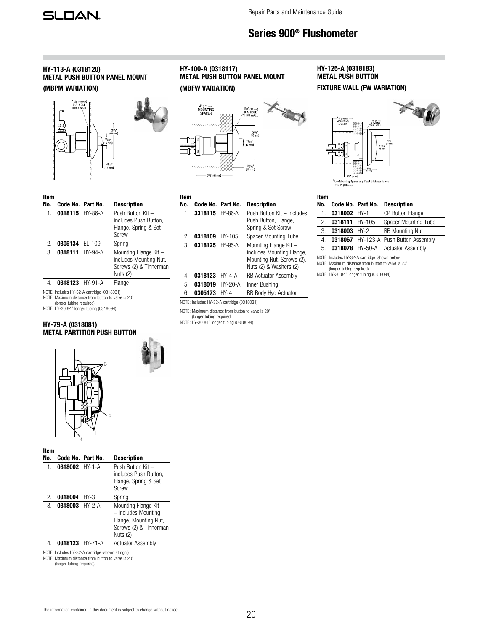## HY-113-A (0318120) METAL PUSH BUTTON PANEL MOUNT (MBPM VARIATION)



| ltem<br>No. | Code No. Part No. | <b>Description</b>                                                                    |
|-------------|-------------------|---------------------------------------------------------------------------------------|
| 1.          | 0318115 HY-86-A   | Push Button Kit -<br>includes Push Button,<br>Flange, Spring & Set<br>Screw           |
| 2.          | 0305134 EL-109    | Spring                                                                                |
| 3.          | 0318111 HY-94-A   | Mounting Flange Kit -<br>includes Mounting Nut,<br>Screws (2) & Tinnerman<br>Nuts (2) |
|             | 0318123 HY-91-A   | Flange                                                                                |

NOTE: Includes HY-32-A cartridge (0318031) NOTE: Maximum distance from button to valve is 20'

(longer tubing required)

NOTE: HY-30 84" longer tubing (0318094)

## HY-79-A (0318081) METAL PARTITION PUSH BUTTON







| Item |                   |           |                                                                                                           |
|------|-------------------|-----------|-----------------------------------------------------------------------------------------------------------|
| No.  | Code No. Part No. |           | <b>Description</b>                                                                                        |
| 1.   | 3318115           | HY-86-A   | Push Button Kit - includes<br>Push Button, Flange,<br>Spring & Set Screw                                  |
| 2.   | 0318109           | $HY-105$  | Spacer Mounting Tube                                                                                      |
| 3.   | 0318125 HY-95-A   |           | Mounting Flange Kit -<br>includes Mounting Flange,<br>Mounting Nut, Screws (2),<br>Nuts (2) & Washers (2) |
| 4.   | 0318123           | $HY-4-A$  | <b>RB Actuator Assembly</b>                                                                               |
| 5.   | 0318019           | $HY-20-A$ | Inner Bushing                                                                                             |
| 6.   | 0305173           | $HY-4$    | <b>RB Body Hyd Actuator</b>                                                                               |
|      |                   |           |                                                                                                           |

NOTE: Includes HY-32-A cartridge (0318031)

NOTE: Maximum distance from button to valve is 20'

(longer tubing required) NOTE: HY-30 84" longer tubing (0318094)

## HY-125-A (0318183) METAL PUSH BUTTON

FIXTURE WALL (FW VARIATION)



### Item

| No.                                            | Code No. Part No. |      | <b>Description</b>                    |  |
|------------------------------------------------|-------------------|------|---------------------------------------|--|
| 1.                                             | $0318002$ HY-1    |      | <b>CP Button Flange</b>               |  |
| 2.                                             | 0318111 HY-105    |      | Spacer Mounting Tube                  |  |
| 3.                                             | 0318003           | HY-2 | <b>RB Mounting Nut</b>                |  |
| 4.                                             |                   |      | 0318067 HY-123-A Push Button Assembly |  |
| 5.                                             |                   |      | 0318078 HY-50-A Actuator Assembly     |  |
| NOTE: Includes HY-32-A cartridge (shown below) |                   |      |                                       |  |

NOTE: Includes HY-32-A cartridge (shown below) NOTE: Maximum distance from button to valve is 20'

(longer tubing required) NOTE: HY-30 84" longer tubing (0318094)

 $\sim$  3  $\sim$  3  $\sim$  3  $\sim$  3  $\sim$  3  $\sim$  3  $\sim$  3  $\sim$  3  $\sim$  3  $\sim$  3  $\sim$  3  $\sim$  3  $\sim$  3  $\sim$  3  $\sim$  3  $\sim$  3  $\sim$  3  $\sim$  3  $\sim$  3  $\sim$  3  $\sim$  3  $\sim$  3  $\sim$  3  $\sim$  3  $\sim$  3  $\sim$  3  $\sim$  3  $\sim$  3  $\sim$  3  $\sim$  3  $\sim$  3  $\sim$ 2 1

4

| Item<br>No. | Code No. Part No. |        | <b>Description</b>                                                                                        |
|-------------|-------------------|--------|-----------------------------------------------------------------------------------------------------------|
| 1.          | $0318002$ HY-1-A  |        | Push Button Kit -<br>includes Push Button.<br>Flange, Spring & Set<br>Screw                               |
| 2.          | 0318004           | $HY-3$ | Spring                                                                                                    |
| 3.          | 0318003 HY-2-A    |        | Mounting Flange Kit<br>- includes Mounting<br>Flange, Mounting Nut,<br>Screws (2) & Tinnerman<br>Nuts (2) |
| 4.          | 0318123 HY-71-A   |        | <b>Actuator Assembly</b>                                                                                  |
|             |                   |        |                                                                                                           |

NOTE: Includes HY-32-A cartridge (shown at right)

NOTE: Maximum distance from button to valve is 20'

(longer tubing required)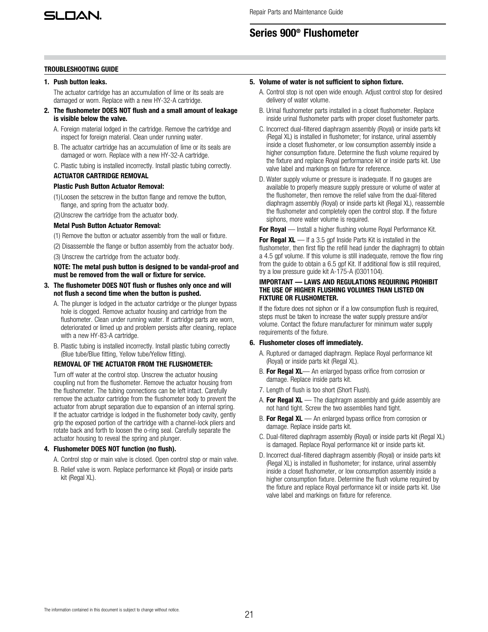

## TROUBLESHOOTING GUIDE

## 1. Push button leaks.

The actuator cartridge has an accumulation of lime or its seals are damaged or worn. Replace with a new HY-32-A cartridge.

- 2. The flushometer DOES NOT flush and a small amount of leakage is visible below the valve.
	- A. Foreign material lodged in the cartridge. Remove the cartridge and inspect for foreign material. Clean under running water.
	- B. The actuator cartridge has an accumulation of lime or its seals are damaged or worn. Replace with a new HY-32-A cartridge.
	- C. Plastic tubing is installed incorrectly. Install plastic tubing correctly.

## ACTUATOR CARTRIDGE REMOVAL

## Plastic Push Button Actuator Removal:

- (1)Loosen the setscrew in the button flange and remove the button, flange, and spring from the actuator body.
- (2)Unscrew the cartridge from the actuator body.

## Metal Push Button Actuator Removal:

- (1) Remove the button or actuator assembly from the wall or fixture.
- (2) Disassemble the flange or button assembly from the actuator body.
- (3) Unscrew the cartridge from the actuator body.

NOTE: The metal push button is designed to be vandal-proof and must be removed from the wall or fixture for service.

- 3. The flushometer DOES NOT flush or flushes only once and will not flush a second time when the button is pushed.
	- A. The plunger is lodged in the actuator cartridge or the plunger bypass hole is clogged. Remove actuator housing and cartridge from the flushometer. Clean under running water. If cartridge parts are worn, deteriorated or limed up and problem persists after cleaning, replace with a new HY-83-A cartridge.
	- B. Plastic tubing is installed incorrectly. Install plastic tubing correctly (Blue tube/Blue fitting, Yellow tube/Yellow fitting).

## REMOVAL OF THE ACTUATOR FROM THE FLUSHOMETER:

Turn off water at the control stop. Unscrew the actuator housing coupling nut from the flushometer. Remove the actuator housing from the flushometer. The tubing connections can be left intact. Carefully remove the actuator cartridge from the flushometer body to prevent the actuator from abrupt separation due to expansion of an internal spring. If the actuator cartridge is lodged in the flushometer body cavity, gently grip the exposed portion of the cartridge with a channel-lock pliers and rotate back and forth to loosen the o-ring seal. Carefully separate the actuator housing to reveal the spring and plunger.

## 4. Flushometer DOES NOT function (no flush).

- A. Control stop or main valve is closed. Open control stop or main valve.
- B. Relief valve is worn. Replace performance kit (Royal) or inside parts kit (Regal XL).

#### 5. Volume of water is not sufficient to siphon fixture.

- A. Control stop is not open wide enough. Adjust control stop for desired delivery of water volume.
- B. Urinal flushometer parts installed in a closet flushometer. Replace inside urinal flushometer parts with proper closet flushometer parts.
- C. Incorrect dual-filtered diaphragm assembly (Royal) or inside parts kit (Regal XL) is installed in flushometer; for instance, urinal assembly inside a closet flushometer, or low consumption assembly inside a higher consumption fixture. Determine the flush volume required by the fixture and replace Royal performance kit or inside parts kit. Use valve label and markings on fixture for reference.
- D. Water supply volume or pressure is inadequate. If no gauges are available to properly measure supply pressure or volume of water at the flushometer, then remove the relief valve from the dual-filtered diaphragm assembly (Royal) or inside parts kit (Regal XL), reassemble the flushometer and completely open the control stop. If the fixture siphons, more water volume is required.

For Royal — Install a higher flushing volume Royal Performance Kit.

For Regal  $XL$  — If a 3.5 gpf Inside Parts Kit is installed in the flushometer, then first flip the refill head (under the diaphragm) to obtain a 4.5 gpf volume. If this volume is still inadequate, remove the flow ring from the guide to obtain a 6.5 gpf Kit. If additional flow is still required, try a low pressure guide kit A-175-A (0301104).

## IMPORTANT — LAWS AND REGULATIONS REQUIRING PROHIBIT THE USE OF HIGHER FLUSHING VOLUMES THAN LISTED ON FIXTURE OR FLUSHOMETER.

If the fixture does not siphon or if a low consumption flush is required, steps must be taken to increase the water supply pressure and/or volume. Contact the fixture manufacturer for minimum water supply requirements of the fixture.

## 6. Flushometer closes off immediately.

- A. Ruptured or damaged diaphragm. Replace Royal performance kit (Royal) or inside parts kit (Regal XL).
- B. For Regal XL- An enlarged bypass orifice from corrosion or damage. Replace inside parts kit.
- 7. Length of flush is too short (Short Flush).
- A. For Regal  $XL$  The diaphragm assembly and guide assembly are not hand tight. Screw the two assemblies hand tight.
- B. For Regal XL An enlarged bypass orifice from corrosion or damage. Replace inside parts kit.
- C. Dual-filtered diaphragm assembly (Royal) or inside parts kit (Regal XL) is damaged. Replace Royal performance kit or inside parts kit.
- D. Incorrect dual-filtered diaphragm assembly (Royal) or inside parts kit (Regal XL) is installed in flushometer; for instance, urinal assembly inside a closet flushometer, or low consumption assembly inside a higher consumption fixture. Determine the flush volume required by the fixture and replace Royal performance kit or inside parts kit. Use valve label and markings on fixture for reference.